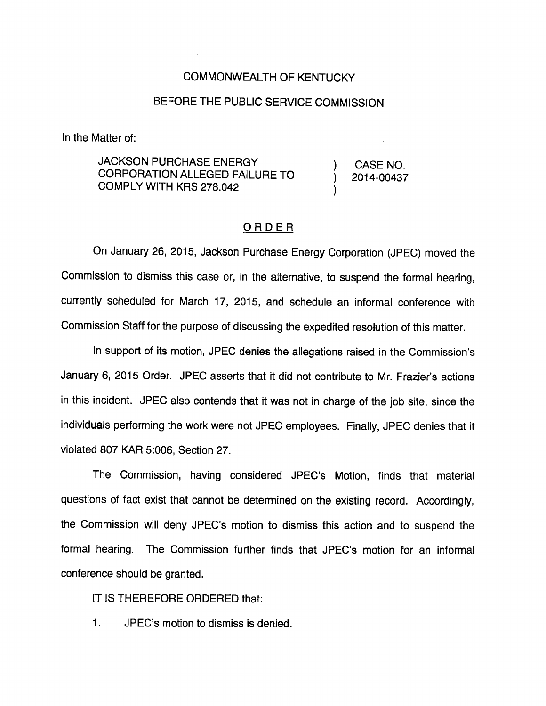## COMMONWEALTH OF KENTUCKY

## BEFORE THE PUBLIC SERVICE COMMISSION

In the Matter of:

JACKSON PURCHASE ENERGY ) CASE NO CORPORATION ALLEGED FAILURE TO  $\qquad \qquad j \qquad 2014 - 00437$ COMPLY WITH KRS 278.042 )

## ORDER

On January 26, 2015, Jackson Purchase Energy Corporation (JPEC) moved the Commission to dismiss this case or, in the alternative, to suspend the formal hearing, currently scheduled for March 17, 2015, and schedule an informal conference with Commission Staff for the purpose of discussing the expedited resolution of this matter.

In support of its motion, JPEC denies the allegations raised in the Commission's January 6, 2015 Order. JPEC asserts that it did not contribute to Mr. Frazier's actions in this incident. JPEC also contends that it was not in charge of the job site, since the individuals performing the work were not JPEC employees. Finally, JPEC denies that it vioiated 807 KAR 5:006, Section 27.

The Commission, having considered JPEC's Motion, finds that material questions of fact exist that cannot be determined on the existing record. Accordingly, the Commission will deny JPEC's motion to dismiss this action and to suspend the formal hearing. The Commission further finds that JPEC's motion for an informal conference should be granted.

IT IS THEREFORE ORDERED that:

1. JPEC's motion to dismiss is denied.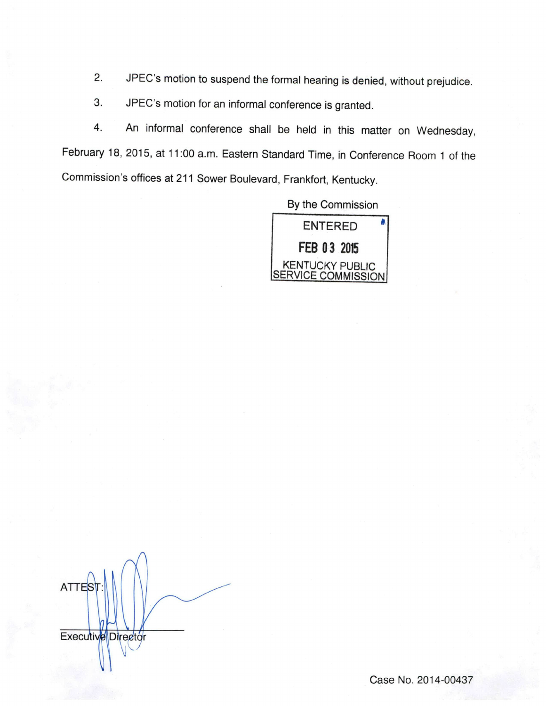- 2. JPEC's motion to suspend the formal hearing is denied, without prejudice.
- 3. JPEC's motion for an informal conference is granted.

4. An informal conference shall be held in this matter on Wednesday, February 18, 2015, at 11:00 a.m. Eastern Standard Time, in Conference Room 1 of the Commission's offices at 211 Sower Boulevard, Frankfort, Kentucky.

By the Commission



**ATTEST** Executive Director